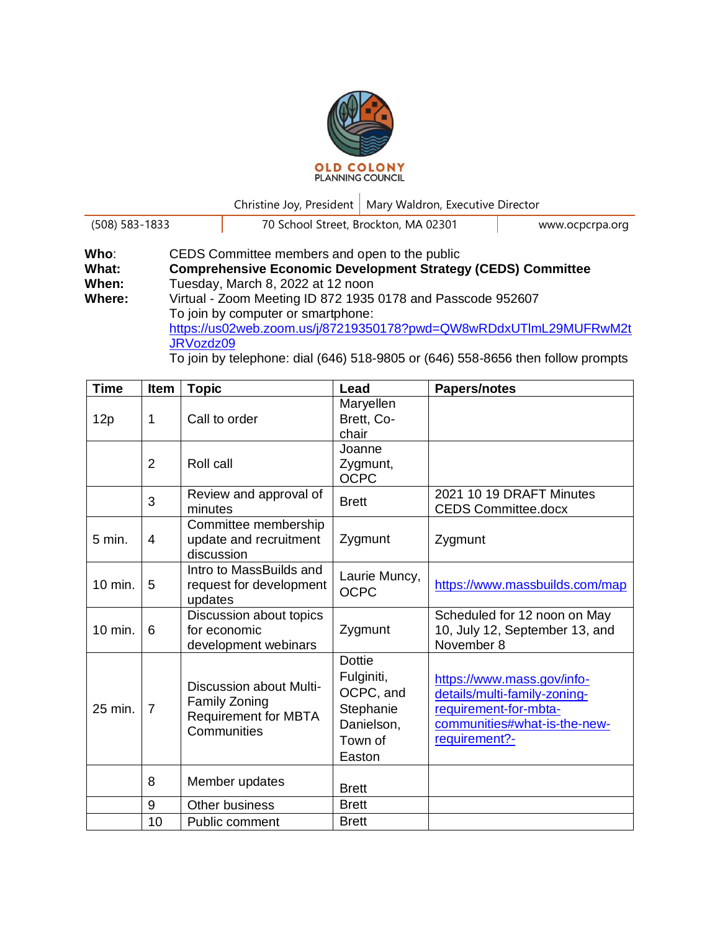

Christine Joy, President | Mary Waldron, Executive Director

| $(508) 583 - 1833$ |                                                                     | 70 School Street, Brockton, MA 02301                                                                                                                                        | www.ocpcrpa.org |  |  |  |
|--------------------|---------------------------------------------------------------------|-----------------------------------------------------------------------------------------------------------------------------------------------------------------------------|-----------------|--|--|--|
| Who:               |                                                                     | CEDS Committee members and open to the public                                                                                                                               |                 |  |  |  |
| What:              | <b>Comprehensive Economic Development Strategy (CEDS) Committee</b> |                                                                                                                                                                             |                 |  |  |  |
| When:              |                                                                     | Tuesday, March 8, 2022 at 12 noon                                                                                                                                           |                 |  |  |  |
| Where:             | Virtual - Zoom Meeting ID 872 1935 0178 and Passcode 952607         |                                                                                                                                                                             |                 |  |  |  |
|                    | To join by computer or smartphone:                                  |                                                                                                                                                                             |                 |  |  |  |
|                    | https://us02web.zoom.us/j/87219350178?pwd=QW8wRDdxUTImL29MUFRwM2t   |                                                                                                                                                                             |                 |  |  |  |
|                    | JRVozdz09                                                           |                                                                                                                                                                             |                 |  |  |  |
|                    |                                                                     | $T$ , total based on a set of $\langle 0.40 \rangle$ $\langle 0.40 \rangle$ $\langle 0.40 \rangle$ $\langle 0.40 \rangle$ $\langle 0.0070 \rangle$ then a full construct of |                 |  |  |  |

To join by telephone: dial (646) 518-9805 or (646) 558-8656 then follow prompts

| <b>Time</b> | Item           | <b>Topic</b>                                                                                  | Lead                                                                                     | <b>Papers/notes</b>                                                                                                                  |
|-------------|----------------|-----------------------------------------------------------------------------------------------|------------------------------------------------------------------------------------------|--------------------------------------------------------------------------------------------------------------------------------------|
| 12p         | 1              | Call to order                                                                                 | Maryellen<br>Brett, Co-<br>chair                                                         |                                                                                                                                      |
|             | $\overline{2}$ | Roll call                                                                                     | Joanne<br>Zygmunt,<br><b>OCPC</b>                                                        |                                                                                                                                      |
|             | 3              | Review and approval of<br>minutes                                                             | <b>Brett</b>                                                                             | 2021 10 19 DRAFT Minutes<br><b>CEDS Committee.docx</b>                                                                               |
| $5$ min.    | $\overline{4}$ | Committee membership<br>update and recruitment<br>discussion                                  | Zygmunt                                                                                  | Zygmunt                                                                                                                              |
| 10 min.     | 5              | Intro to MassBuilds and<br>request for development<br>updates                                 | Laurie Muncy,<br><b>OCPC</b>                                                             | https://www.massbuilds.com/map                                                                                                       |
| 10 min.     | 6              | Discussion about topics<br>for economic<br>development webinars                               | Zygmunt                                                                                  | Scheduled for 12 noon on May<br>10, July 12, September 13, and<br>November 8                                                         |
| 25 min.     | $\overline{7}$ | Discussion about Multi-<br><b>Family Zoning</b><br><b>Requirement for MBTA</b><br>Communities | <b>Dottie</b><br>Fulginiti,<br>OCPC, and<br>Stephanie<br>Danielson,<br>Town of<br>Easton | https://www.mass.gov/info-<br>details/multi-family-zoning-<br>requirement-for-mbta-<br>communities#what-is-the-new-<br>requirement?- |
|             | 8              | Member updates                                                                                | <b>Brett</b>                                                                             |                                                                                                                                      |
|             | 9              | Other business                                                                                | <b>Brett</b>                                                                             |                                                                                                                                      |
|             | 10             | Public comment                                                                                | <b>Brett</b>                                                                             |                                                                                                                                      |